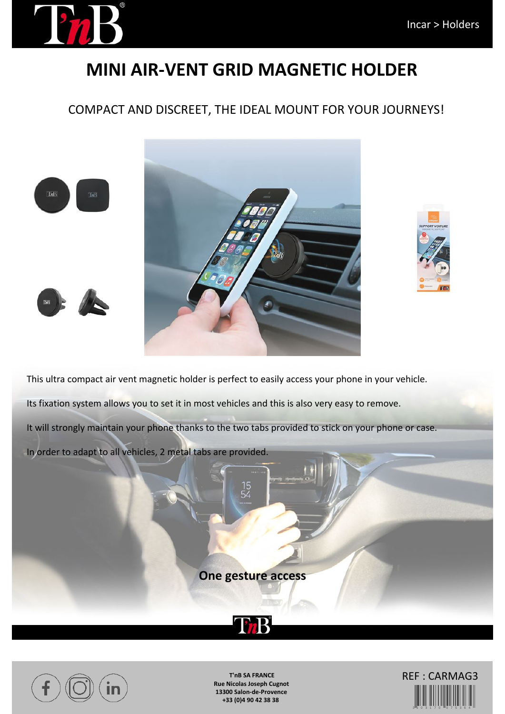

## **MINI AIR-VENT GRID MAGNETIC HOLDER**

### COMPACT AND DISCREET, THE IDEAL MOUNT FOR YOUR JOURNEYS!

**ThB** 

 $TnB$ 





This ultra compact air vent magnetic holder is perfect to easily access your phone in your vehicle. Its fixation system allows you to set it in most vehicles and this is also very easy to remove. It will strongly maintain your phone thanks to the two tabs provided to stick on your phone or case. In order to adapt to all vehicles, 2 metal tabs are provided.

**One gesture access**





**T'nB SA FRANCE Rue Nicolas Joseph Cugnot 13300 Salon-de-Provence +33 (0)4 90 42 38 38**